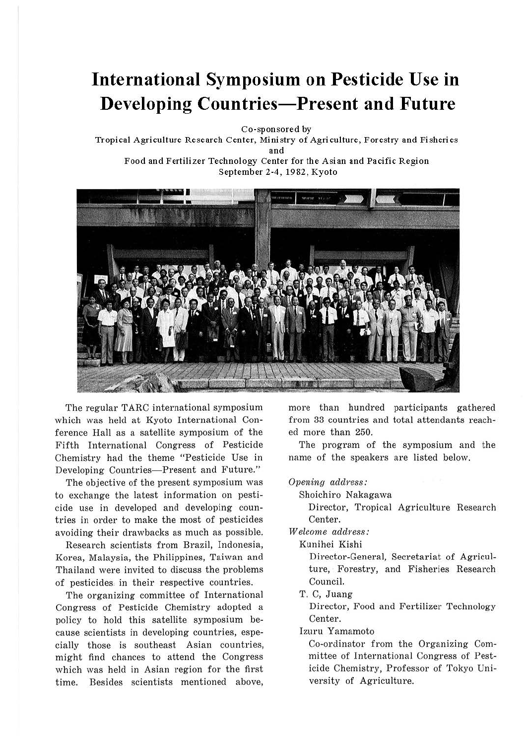# **International Symposium on Pesticide Use in Developing Countries-Present and Future**

Co-sponsored by

Tropical Agriculture Research Center, Ministry of Agriculture, Forestry and Fisheries and Food and Fertilizer Technology Center for the Asian and Pacific Region

September 2-4, 1982, Kyoto



The regular TARC international symposium which was held at Kyoto International Conference Hall as a satellite symposium of the Fifth International Congress of Pesticide Chemistry had the theme "Pesticide Use in Developing Countries-Present and Future."

The objective of the present symposium was to exchange the latest information on pesticide use in developed and developing countries in order to make the most of pesticides avoiding their drawbacks as much as possible.

Research scientists from Brazil, Indonesia, Korea, Malaysia, the Philippines, Taiwan and Thailand were invited to discuss the problems of pesticides. in their respective countries.

The organizing committee of International Congress of Pesticide Chemistry adopted a policy to hold this satellite symposium because scientists in developing countries, especially those is southeast Asian countries, might find chances to attend the Congress which was held in Asian region for the first time. Besides scientists mentioned above,

more than hundred participants gathered from 33 countries and total attendants reached more than 250.

The program of the symposium and the name of the speakers are listed below.

*Opening address:* 

Shoichiro Nakagawa

Director, Tropical Agriculture Research Center.

 $Welcome\ address:$ 

Kunihei Kishi

Director-General, Secretariat of Agriculture, Forestry, and Fisheries Research Council.

T. C, Juang

Director, Food and Fertilizer Technology Center.

lzuru Yamamoto

Co-ordinator from the Organizing Committee of International Congress of Pesticide Chemistry, Professor of Tokyo University of Agriculture.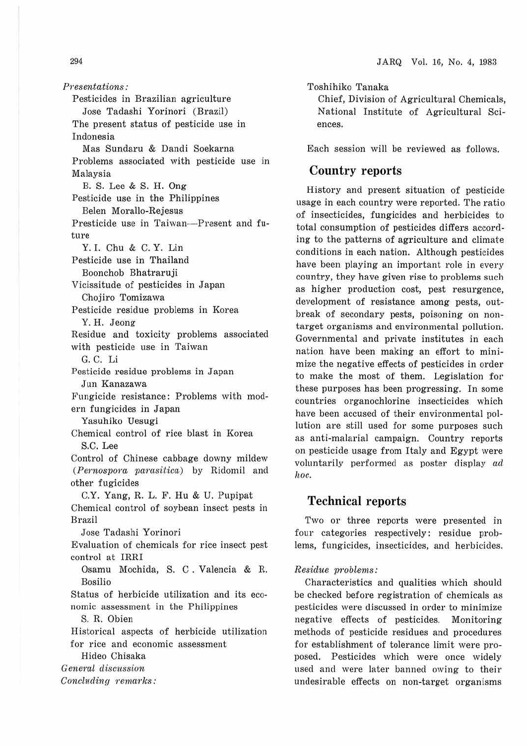Presentations: Pesticides in Brazilian agriculture Jose Tadashi Yorinori (Brazil) The present status of pesticide use in Indonesia Mas Sundaru & Dandi Soekarna Problems associated with pesticide use in Malaysia B. S. Lee & S. H. Ong Pesticide use in the Philippines Belen Morallo-Rejesus Presticide use in Taiwan--Present and future Y. I. Chu & C. Y. Lin Pesticide use in Thailand Boonchob Bhatraruji Vicissitude of pesticides in Japan Chojiro Tomizawa Pesticide residue problems in Korea Y. H. Jeong Residue and toxicity problems associated with pesticide use in Taiwan G. C. Li Pesticide residue problems in Japan Jun Kanazawa Fungicide resistance: Problems with modern fungicides in Japan Yasuhiko Uesugi Chemical control of rice blast in Korea S.C. Lee Control of Chinese cabbage downy mildew (Pernospora parasitica) by Ridomil and other fugicides C.Y. Yang, R. L. F. Hu & U. Pupipat Chemical control of soybean insect pests in Brazil Jose Tadashi Yorinori Evaluation of chemicals for rice insect pest control at IRR! Osamu Mochida, S. C. Valencia & R. Bosilio Status of herbicide utilization and its economic assessment in the Philippines S. R. Obien Historical aspects of herbicide utilization for rice and economic assessment Hideo Chisaka General discussion

Concluding remarks:

Toshihiko Tanaka

Chief, Division of Agricultural Chemicals, National Institute of Agricultural Sciences.

Each session will be reviewed as follows.

# **Country reports**

History and present situation of pesticide usage in each country were reported. The ratio of insecticides, fungicides and herbicides to total consumption of pesticides differs according to the patterns of agriculture and climate conditions in each nation. Although pesticides have been playing an important role in every country, they have given rise to problems such as higher production cost, pest resurgence, development of resistance among pests, outbreak of secondary pests, poisoning on nontarget organisms and environmental pollution. Governmental and private institutes in each nation have been making an effort to minimize the negative effects of pesticides in order to make the most of them. Legislation for these purposes has been progressing. In some countries organochlorine insecticides which have been accused of their environmental pollution are still used for some purposes such as anti-malarial campaign. Country reports on pesticide usage from Italy and Egypt were voluntarily performed as poster display ad hoc.

# **Technical reports**

Two or three reports were presented in four categories respectively: residue problems, fungicides, insecticides, and herbicides.

#### Residue problems:

Characteristics and qualities which should be checked before registration of chemicals as pesticides were discussed in order to minimize negative effects of pesticides. Monitoring methods of pesticide residues and procedures for establishment of tolerance limit were proposed. Pesticides which were once widely used and were later banned owing to their undesirable effects on non-target organisms